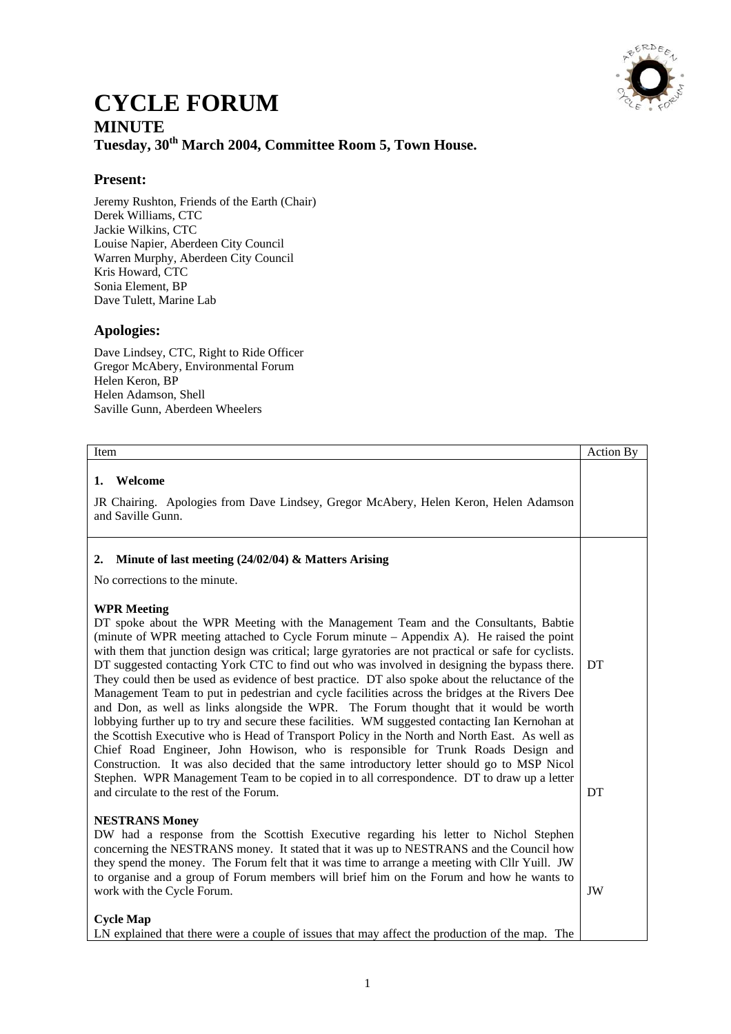

# **CYCLE FORUM MINUTE Tuesday, 30th March 2004, Committee Room 5, Town House.**

## **Present:**

Jeremy Rushton, Friends of the Earth (Chair) Derek Williams, CTC Jackie Wilkins, CTC Louise Napier, Aberdeen City Council Warren Murphy, Aberdeen City Council Kris Howard, CTC Sonia Element, BP Dave Tulett, Marine Lab

## **Apologies:**

Dave Lindsey, CTC, Right to Ride Officer Gregor McAbery, Environmental Forum Helen Keron, BP Helen Adamson, Shell Saville Gunn, Aberdeen Wheelers

| Item                                                                                                                                                                                                                                                                                                                                                                                                                                                                                                                                                                                                                                                                                                                                                                                                                                                                                                                                                                                                                                                                                                                                                                                                                                         | <b>Action By</b> |
|----------------------------------------------------------------------------------------------------------------------------------------------------------------------------------------------------------------------------------------------------------------------------------------------------------------------------------------------------------------------------------------------------------------------------------------------------------------------------------------------------------------------------------------------------------------------------------------------------------------------------------------------------------------------------------------------------------------------------------------------------------------------------------------------------------------------------------------------------------------------------------------------------------------------------------------------------------------------------------------------------------------------------------------------------------------------------------------------------------------------------------------------------------------------------------------------------------------------------------------------|------------------|
| Welcome<br>1.<br>JR Chairing. Apologies from Dave Lindsey, Gregor McAbery, Helen Keron, Helen Adamson<br>and Saville Gunn.                                                                                                                                                                                                                                                                                                                                                                                                                                                                                                                                                                                                                                                                                                                                                                                                                                                                                                                                                                                                                                                                                                                   |                  |
| Minute of last meeting (24/02/04) & Matters Arising<br>2.<br>No corrections to the minute.                                                                                                                                                                                                                                                                                                                                                                                                                                                                                                                                                                                                                                                                                                                                                                                                                                                                                                                                                                                                                                                                                                                                                   |                  |
| <b>WPR Meeting</b><br>DT spoke about the WPR Meeting with the Management Team and the Consultants, Babtie<br>(minute of WPR meeting attached to Cycle Forum minute – Appendix A). He raised the point<br>with them that junction design was critical; large gyratories are not practical or safe for cyclists.<br>DT suggested contacting York CTC to find out who was involved in designing the bypass there.<br>They could then be used as evidence of best practice. DT also spoke about the reluctance of the<br>Management Team to put in pedestrian and cycle facilities across the bridges at the Rivers Dee<br>and Don, as well as links alongside the WPR. The Forum thought that it would be worth<br>lobbying further up to try and secure these facilities. WM suggested contacting Ian Kernohan at<br>the Scottish Executive who is Head of Transport Policy in the North and North East. As well as<br>Chief Road Engineer, John Howison, who is responsible for Trunk Roads Design and<br>Construction. It was also decided that the same introductory letter should go to MSP Nicol<br>Stephen. WPR Management Team to be copied in to all correspondence. DT to draw up a letter<br>and circulate to the rest of the Forum. | DT<br>DT         |
| <b>NESTRANS Money</b><br>DW had a response from the Scottish Executive regarding his letter to Nichol Stephen<br>concerning the NESTRANS money. It stated that it was up to NESTRANS and the Council how<br>they spend the money. The Forum felt that it was time to arrange a meeting with Cllr Yuill. JW<br>to organise and a group of Forum members will brief him on the Forum and how he wants to<br>work with the Cycle Forum.<br><b>Cycle Map</b><br>LN explained that there were a couple of issues that may affect the production of the map. The                                                                                                                                                                                                                                                                                                                                                                                                                                                                                                                                                                                                                                                                                   | JW               |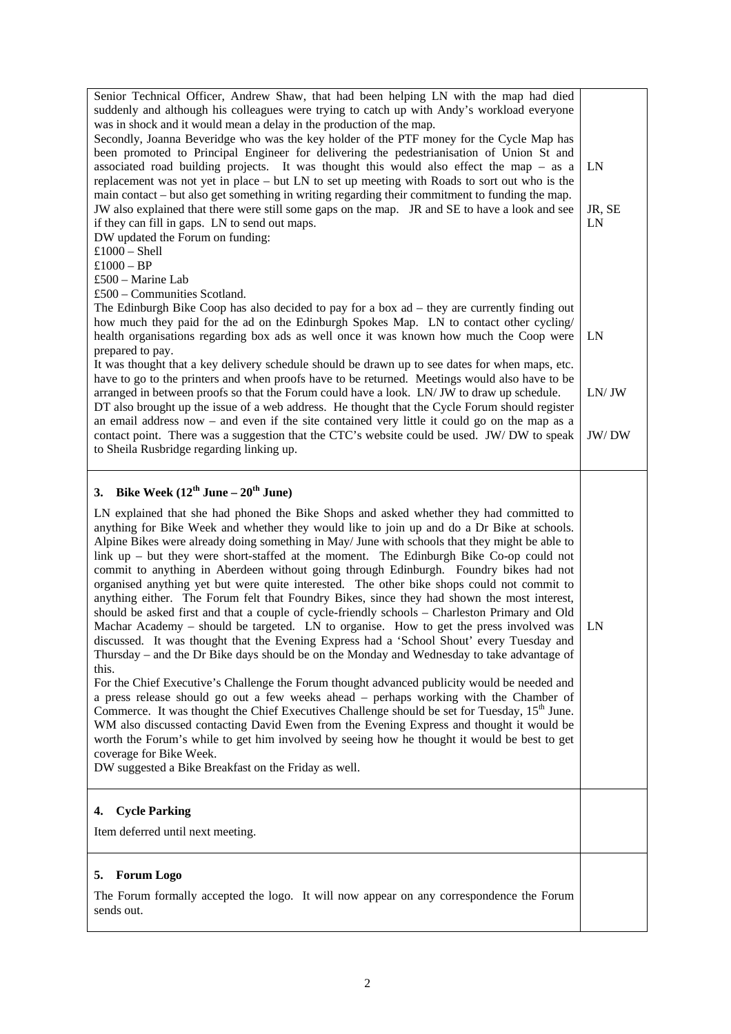| Senior Technical Officer, Andrew Shaw, that had been helping LN with the map had died<br>suddenly and although his colleagues were trying to catch up with Andy's workload everyone<br>was in shock and it would mean a delay in the production of the map.<br>Secondly, Joanna Beveridge who was the key holder of the PTF money for the Cycle Map has<br>been promoted to Principal Engineer for delivering the pedestrianisation of Union St and<br>associated road building projects. It was thought this would also effect the map - as a<br>replacement was not yet in place – but LN to set up meeting with Roads to sort out who is the<br>main contact – but also get something in writing regarding their commitment to funding the map.<br>JW also explained that there were still some gaps on the map. JR and SE to have a look and see<br>if they can fill in gaps. LN to send out maps.<br>DW updated the Forum on funding:<br>$£1000 - Shell$<br>$£1000 - BP$<br>£500 – Marine Lab                                                                                                                                                                                                                                                                                                                                                                                                                                                                                                                                                                                                                                                                                                                   | LN<br>JR, SE<br>LN |
|----------------------------------------------------------------------------------------------------------------------------------------------------------------------------------------------------------------------------------------------------------------------------------------------------------------------------------------------------------------------------------------------------------------------------------------------------------------------------------------------------------------------------------------------------------------------------------------------------------------------------------------------------------------------------------------------------------------------------------------------------------------------------------------------------------------------------------------------------------------------------------------------------------------------------------------------------------------------------------------------------------------------------------------------------------------------------------------------------------------------------------------------------------------------------------------------------------------------------------------------------------------------------------------------------------------------------------------------------------------------------------------------------------------------------------------------------------------------------------------------------------------------------------------------------------------------------------------------------------------------------------------------------------------------------------------------------------------------|--------------------|
| £500 – Communities Scotland.<br>The Edinburgh Bike Coop has also decided to pay for a box $ad - they$ are currently finding out<br>how much they paid for the ad on the Edinburgh Spokes Map. LN to contact other cycling/<br>health organisations regarding box ads as well once it was known how much the Coop were<br>prepared to pay.<br>It was thought that a key delivery schedule should be drawn up to see dates for when maps, etc.                                                                                                                                                                                                                                                                                                                                                                                                                                                                                                                                                                                                                                                                                                                                                                                                                                                                                                                                                                                                                                                                                                                                                                                                                                                                         | LN                 |
| have to go to the printers and when proofs have to be returned. Meetings would also have to be<br>arranged in between proofs so that the Forum could have a look. LN/ JW to draw up schedule.<br>DT also brought up the issue of a web address. He thought that the Cycle Forum should register<br>an email address now $-$ and even if the site contained very little it could go on the map as a<br>contact point. There was a suggestion that the CTC's website could be used. JW/DW to speak                                                                                                                                                                                                                                                                                                                                                                                                                                                                                                                                                                                                                                                                                                                                                                                                                                                                                                                                                                                                                                                                                                                                                                                                                     | LN/JW<br>JW/DW     |
| to Sheila Rusbridge regarding linking up.                                                                                                                                                                                                                                                                                                                                                                                                                                                                                                                                                                                                                                                                                                                                                                                                                                                                                                                                                                                                                                                                                                                                                                                                                                                                                                                                                                                                                                                                                                                                                                                                                                                                            |                    |
| Bike Week $(12^{th}$ June – $20^{th}$ June)<br>3.<br>LN explained that she had phoned the Bike Shops and asked whether they had committed to<br>anything for Bike Week and whether they would like to join up and do a Dr Bike at schools.<br>Alpine Bikes were already doing something in May/ June with schools that they might be able to<br>link $up$ – but they were short-staffed at the moment. The Edinburgh Bike Co-op could not<br>commit to anything in Aberdeen without going through Edinburgh. Foundry bikes had not<br>organised anything yet but were quite interested. The other bike shops could not commit to<br>anything either. The Forum felt that Foundry Bikes, since they had shown the most interest,<br>should be asked first and that a couple of cycle-friendly schools - Charleston Primary and Old<br>Machar Academy – should be targeted. LN to organise. How to get the press involved was<br>discussed. It was thought that the Evening Express had a 'School Shout' every Tuesday and<br>Thursday – and the Dr Bike days should be on the Monday and Wednesday to take advantage of<br>this.<br>For the Chief Executive's Challenge the Forum thought advanced publicity would be needed and<br>a press release should go out a few weeks ahead – perhaps working with the Chamber of<br>Commerce. It was thought the Chief Executives Challenge should be set for Tuesday, 15 <sup>th</sup> June.<br>WM also discussed contacting David Ewen from the Evening Express and thought it would be<br>worth the Forum's while to get him involved by seeing how he thought it would be best to get<br>coverage for Bike Week.<br>DW suggested a Bike Breakfast on the Friday as well. | LN                 |
| <b>Cycle Parking</b><br>4.<br>Item deferred until next meeting.                                                                                                                                                                                                                                                                                                                                                                                                                                                                                                                                                                                                                                                                                                                                                                                                                                                                                                                                                                                                                                                                                                                                                                                                                                                                                                                                                                                                                                                                                                                                                                                                                                                      |                    |
| <b>Forum Logo</b><br>5.<br>The Forum formally accepted the logo. It will now appear on any correspondence the Forum<br>sends out.                                                                                                                                                                                                                                                                                                                                                                                                                                                                                                                                                                                                                                                                                                                                                                                                                                                                                                                                                                                                                                                                                                                                                                                                                                                                                                                                                                                                                                                                                                                                                                                    |                    |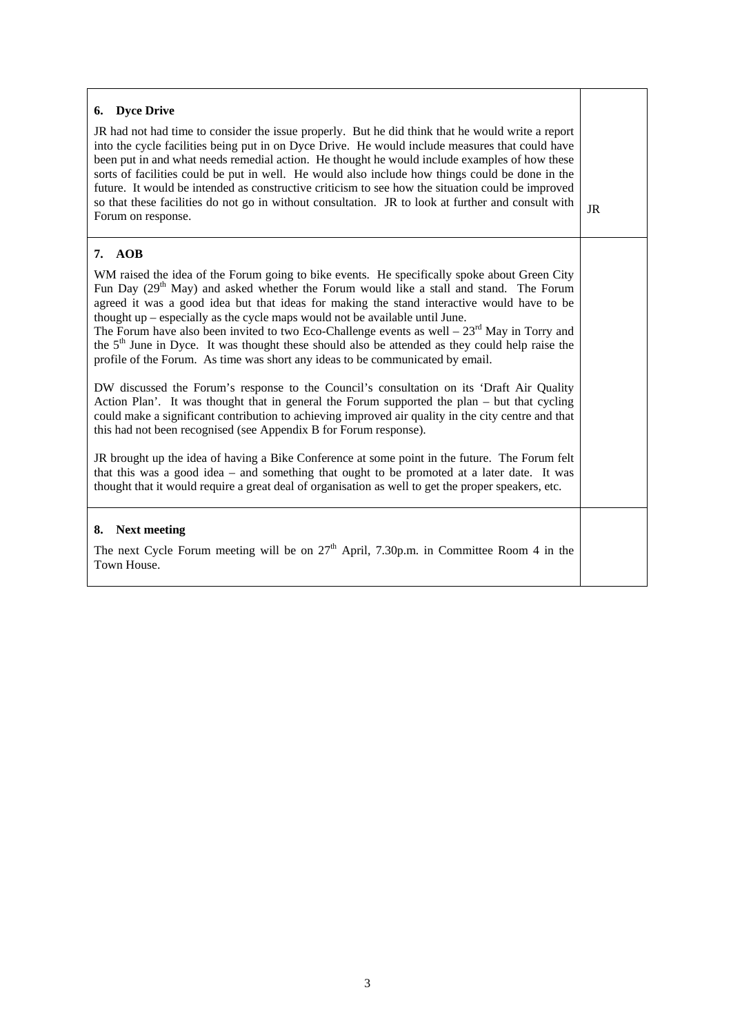| 6. Dyce Drive<br>JR had not had time to consider the issue properly. But he did think that he would write a report<br>into the cycle facilities being put in on Dyce Drive. He would include measures that could have<br>been put in and what needs remedial action. He thought he would include examples of how these<br>sorts of facilities could be put in well. He would also include how things could be done in the<br>future. It would be intended as constructive criticism to see how the situation could be improved<br>so that these facilities do not go in without consultation. JR to look at further and consult with<br>Forum on response. | JR |
|------------------------------------------------------------------------------------------------------------------------------------------------------------------------------------------------------------------------------------------------------------------------------------------------------------------------------------------------------------------------------------------------------------------------------------------------------------------------------------------------------------------------------------------------------------------------------------------------------------------------------------------------------------|----|
| 7. AOB<br>WM raised the idea of the Forum going to bike events. He specifically spoke about Green City                                                                                                                                                                                                                                                                                                                                                                                                                                                                                                                                                     |    |
| Fun Day (29 <sup>th</sup> May) and asked whether the Forum would like a stall and stand. The Forum<br>agreed it was a good idea but that ideas for making the stand interactive would have to be<br>thought $up$ – especially as the cycle maps would not be available until June.<br>The Forum have also been invited to two Eco-Challenge events as well $-23rd$ May in Torry and<br>the 5 <sup>th</sup> June in Dyce. It was thought these should also be attended as they could help raise the<br>profile of the Forum. As time was short any ideas to be communicated by email.                                                                       |    |
| DW discussed the Forum's response to the Council's consultation on its 'Draft Air Quality<br>Action Plan'. It was thought that in general the Forum supported the plan – but that cycling<br>could make a significant contribution to achieving improved air quality in the city centre and that<br>this had not been recognised (see Appendix B for Forum response).                                                                                                                                                                                                                                                                                      |    |
| JR brought up the idea of having a Bike Conference at some point in the future. The Forum felt<br>that this was a good idea – and something that ought to be promoted at a later date. It was<br>thought that it would require a great deal of organisation as well to get the proper speakers, etc.                                                                                                                                                                                                                                                                                                                                                       |    |
| <b>Next meeting</b><br>8.<br>The next Cycle Forum meeting will be on $27th$ April, 7.30p.m. in Committee Room 4 in the<br>Town House.                                                                                                                                                                                                                                                                                                                                                                                                                                                                                                                      |    |
|                                                                                                                                                                                                                                                                                                                                                                                                                                                                                                                                                                                                                                                            |    |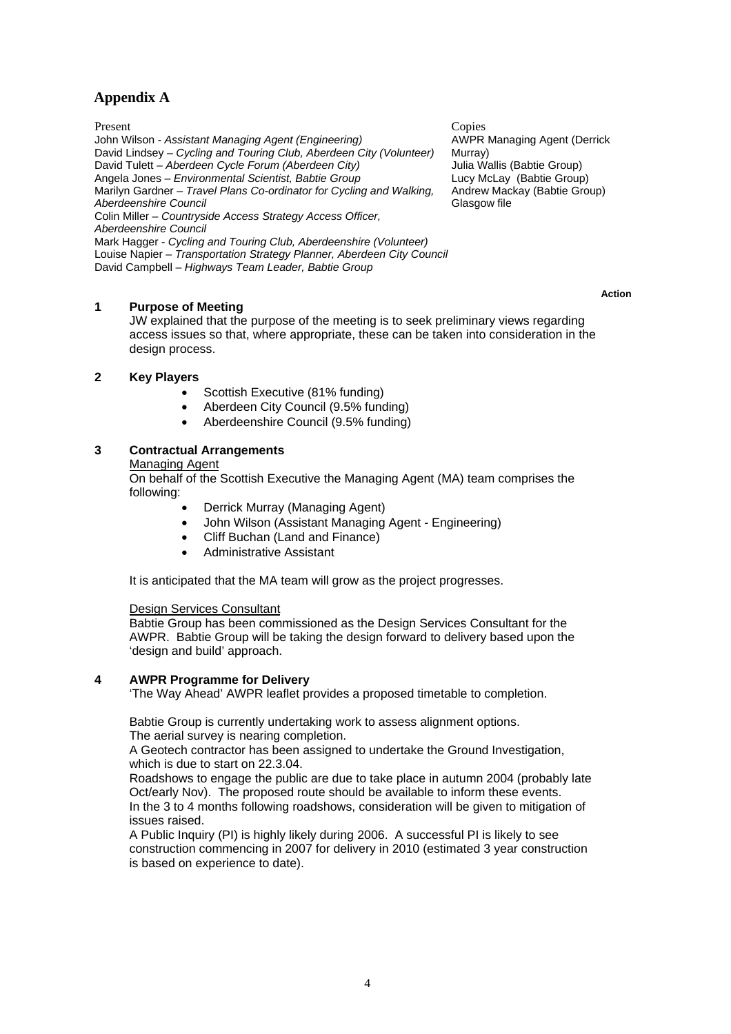## **Appendix A**

Present Copies John Wilson - *Assistant Managing Agent (Engineering)* David Lindsey – *Cycling and Touring Club, Aberdeen City (Volunteer)* David Tulett – *Aberdeen Cycle Forum (Aberdeen City)* Angela Jones – *Environmental Scientist, Babtie Group* Marilyn Gardner – *Travel Plans Co-ordinator for Cycling and Walking, Aberdeenshire Council* Colin Miller – *Countryside Access Strategy Access Officer, Aberdeenshire Council* Mark Hagger - *Cycling and Touring Club, Aberdeenshire (Volunteer)* Louise Napier – *Transportation Strategy Planner, Aberdeen City Council*

David Campbell – *Highways Team Leader, Babtie Group*

#### **1 Purpose of Meeting**

JW explained that the purpose of the meeting is to seek preliminary views regarding access issues so that, where appropriate, these can be taken into consideration in the design process.

#### **2 Key Players**

- Scottish Executive (81% funding)
- Aberdeen City Council (9.5% funding)
- Aberdeenshire Council (9.5% funding)

#### **3 Contractual Arrangements**

Managing Agent

On behalf of the Scottish Executive the Managing Agent (MA) team comprises the following:

- Derrick Murray (Managing Agent)
- John Wilson (Assistant Managing Agent Engineering)
- Cliff Buchan (Land and Finance)
- Administrative Assistant

It is anticipated that the MA team will grow as the project progresses.

#### Design Services Consultant

Babtie Group has been commissioned as the Design Services Consultant for the AWPR. Babtie Group will be taking the design forward to delivery based upon the 'design and build' approach.

#### **4 AWPR Programme for Delivery**

'The Way Ahead' AWPR leaflet provides a proposed timetable to completion.

Babtie Group is currently undertaking work to assess alignment options. The aerial survey is nearing completion.

A Geotech contractor has been assigned to undertake the Ground Investigation, which is due to start on 22.3.04.

Roadshows to engage the public are due to take place in autumn 2004 (probably late Oct/early Nov). The proposed route should be available to inform these events. In the 3 to 4 months following roadshows, consideration will be given to mitigation of issues raised.

A Public Inquiry (PI) is highly likely during 2006. A successful PI is likely to see construction commencing in 2007 for delivery in 2010 (estimated 3 year construction is based on experience to date).

AWPR Managing Agent (Derrick Murray) Julia Wallis (Babtie Group) Lucy McLay (Babtie Group) Andrew Mackay (Babtie Group) Glasgow file

 **Action**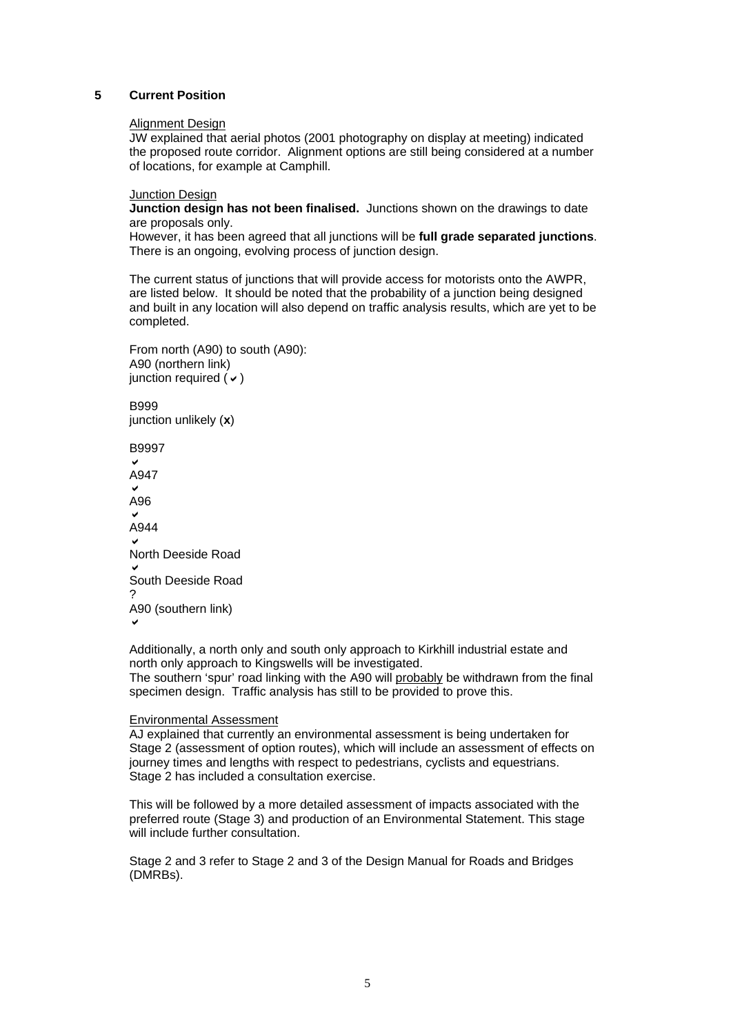#### **5 Current Position**

#### Alignment Design

JW explained that aerial photos (2001 photography on display at meeting) indicated the proposed route corridor. Alignment options are still being considered at a number of locations, for example at Camphill.

#### **Junction Design**

**Junction design has not been finalised.** Junctions shown on the drawings to date are proposals only.

However, it has been agreed that all junctions will be **full grade separated junctions**. There is an ongoing, evolving process of junction design.

The current status of junctions that will provide access for motorists onto the AWPR, are listed below. It should be noted that the probability of a junction being designed and built in any location will also depend on traffic analysis results, which are yet to be completed.

From north (A90) to south (A90): A90 (northern link) junction required  $(v)$ 

B999 junction unlikely (**x**)

B9997  $\checkmark$ A947  $\checkmark$ A96 .<br>م A944  $\checkmark$ North Deeside Road  $\checkmark$ South Deeside Road ? A90 (southern link)  $\checkmark$ 

Additionally, a north only and south only approach to Kirkhill industrial estate and north only approach to Kingswells will be investigated.

The southern 'spur' road linking with the A90 will probably be withdrawn from the final specimen design. Traffic analysis has still to be provided to prove this.

#### Environmental Assessment

AJ explained that currently an environmental assessment is being undertaken for Stage 2 (assessment of option routes), which will include an assessment of effects on journey times and lengths with respect to pedestrians, cyclists and equestrians. Stage 2 has included a consultation exercise.

This will be followed by a more detailed assessment of impacts associated with the preferred route (Stage 3) and production of an Environmental Statement. This stage will include further consultation.

Stage 2 and 3 refer to Stage 2 and 3 of the Design Manual for Roads and Bridges (DMRBs).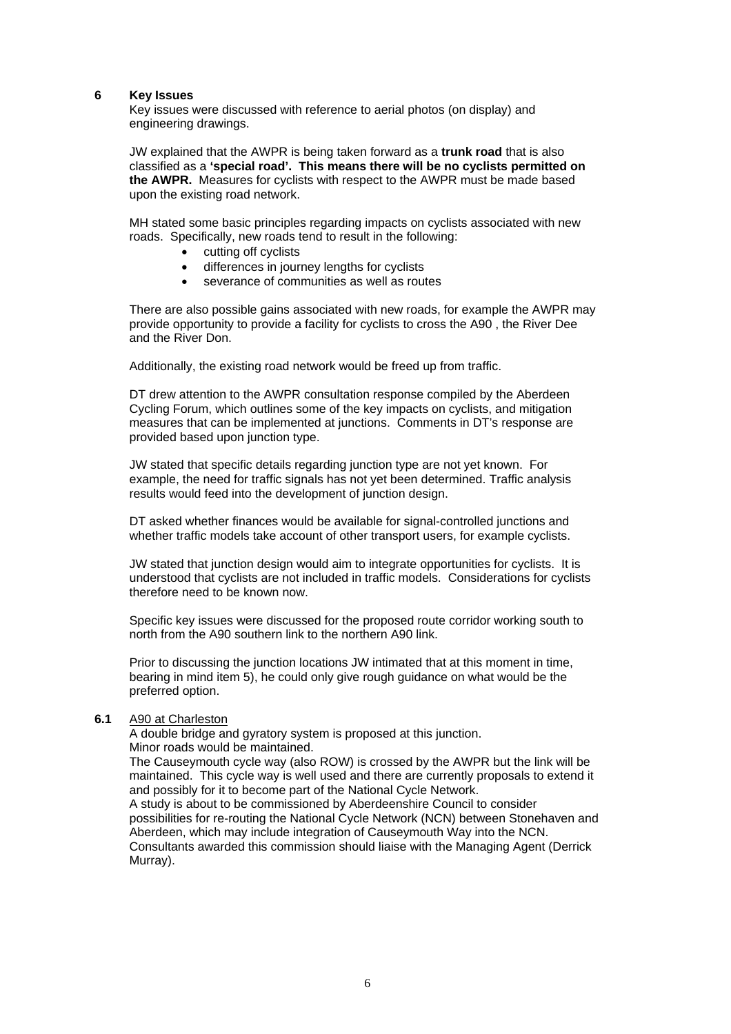#### **6 Key Issues**

Key issues were discussed with reference to aerial photos (on display) and engineering drawings.

JW explained that the AWPR is being taken forward as a **trunk road** that is also classified as a **'special road'. This means there will be no cyclists permitted on the AWPR.** Measures for cyclists with respect to the AWPR must be made based upon the existing road network.

MH stated some basic principles regarding impacts on cyclists associated with new roads. Specifically, new roads tend to result in the following:

- cutting off cyclists
- differences in journey lengths for cyclists
- severance of communities as well as routes

There are also possible gains associated with new roads, for example the AWPR may provide opportunity to provide a facility for cyclists to cross the A90 , the River Dee and the River Don.

Additionally, the existing road network would be freed up from traffic.

DT drew attention to the AWPR consultation response compiled by the Aberdeen Cycling Forum, which outlines some of the key impacts on cyclists, and mitigation measures that can be implemented at junctions. Comments in DT's response are provided based upon junction type.

JW stated that specific details regarding junction type are not yet known. For example, the need for traffic signals has not yet been determined. Traffic analysis results would feed into the development of junction design.

DT asked whether finances would be available for signal-controlled junctions and whether traffic models take account of other transport users, for example cyclists.

JW stated that junction design would aim to integrate opportunities for cyclists. It is understood that cyclists are not included in traffic models. Considerations for cyclists therefore need to be known now.

Specific key issues were discussed for the proposed route corridor working south to north from the A90 southern link to the northern A90 link.

Prior to discussing the junction locations JW intimated that at this moment in time, bearing in mind item 5), he could only give rough guidance on what would be the preferred option.

#### **6.1** A90 at Charleston

A double bridge and gyratory system is proposed at this junction. Minor roads would be maintained.

The Causeymouth cycle way (also ROW) is crossed by the AWPR but the link will be maintained. This cycle way is well used and there are currently proposals to extend it and possibly for it to become part of the National Cycle Network.

A study is about to be commissioned by Aberdeenshire Council to consider possibilities for re-routing the National Cycle Network (NCN) between Stonehaven and Aberdeen, which may include integration of Causeymouth Way into the NCN. Consultants awarded this commission should liaise with the Managing Agent (Derrick Murray).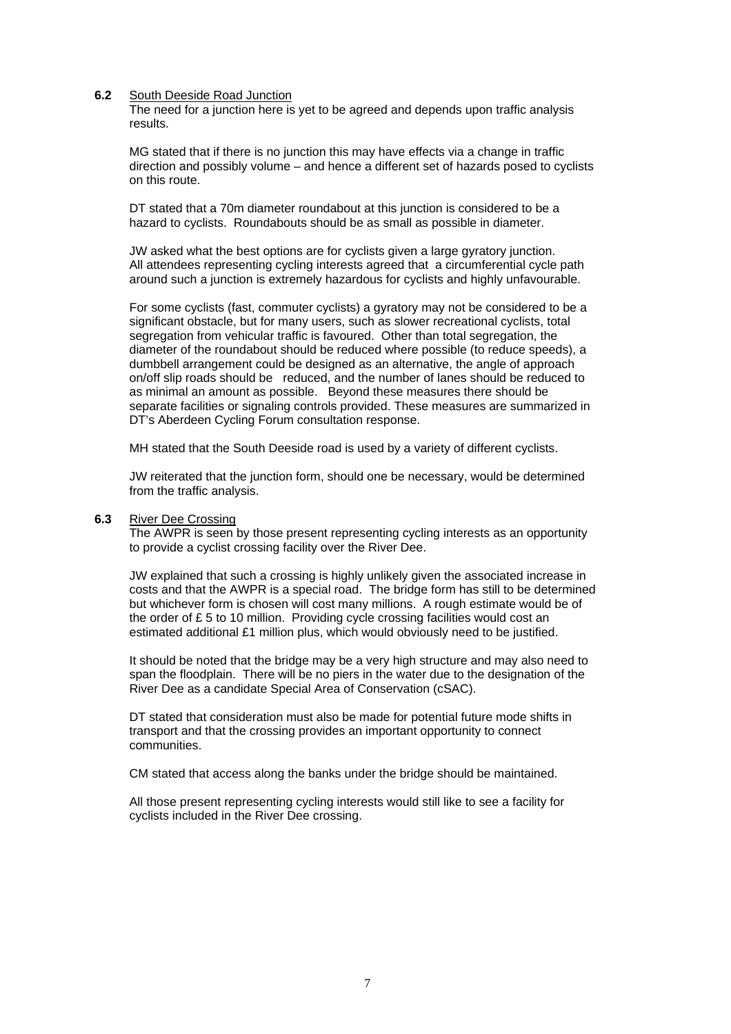#### **6.2** South Deeside Road Junction

The need for a junction here is yet to be agreed and depends upon traffic analysis results.

MG stated that if there is no junction this may have effects via a change in traffic direction and possibly volume – and hence a different set of hazards posed to cyclists on this route.

DT stated that a 70m diameter roundabout at this junction is considered to be a hazard to cyclists. Roundabouts should be as small as possible in diameter.

JW asked what the best options are for cyclists given a large gyratory junction. All attendees representing cycling interests agreed that a circumferential cycle path around such a junction is extremely hazardous for cyclists and highly unfavourable.

For some cyclists (fast, commuter cyclists) a gyratory may not be considered to be a significant obstacle, but for many users, such as slower recreational cyclists, total segregation from vehicular traffic is favoured. Other than total segregation, the diameter of the roundabout should be reduced where possible (to reduce speeds), a dumbbell arrangement could be designed as an alternative, the angle of approach on/off slip roads should be reduced, and the number of lanes should be reduced to as minimal an amount as possible. Beyond these measures there should be separate facilities or signaling controls provided. These measures are summarized in DT's Aberdeen Cycling Forum consultation response.

MH stated that the South Deeside road is used by a variety of different cyclists.

JW reiterated that the junction form, should one be necessary, would be determined from the traffic analysis.

#### **6.3** River Dee Crossing

The AWPR is seen by those present representing cycling interests as an opportunity to provide a cyclist crossing facility over the River Dee.

JW explained that such a crossing is highly unlikely given the associated increase in costs and that the AWPR is a special road. The bridge form has still to be determined but whichever form is chosen will cost many millions. A rough estimate would be of the order of £ 5 to 10 million. Providing cycle crossing facilities would cost an estimated additional £1 million plus, which would obviously need to be justified.

It should be noted that the bridge may be a very high structure and may also need to span the floodplain. There will be no piers in the water due to the designation of the River Dee as a candidate Special Area of Conservation (cSAC).

DT stated that consideration must also be made for potential future mode shifts in transport and that the crossing provides an important opportunity to connect communities.

CM stated that access along the banks under the bridge should be maintained.

All those present representing cycling interests would still like to see a facility for cyclists included in the River Dee crossing.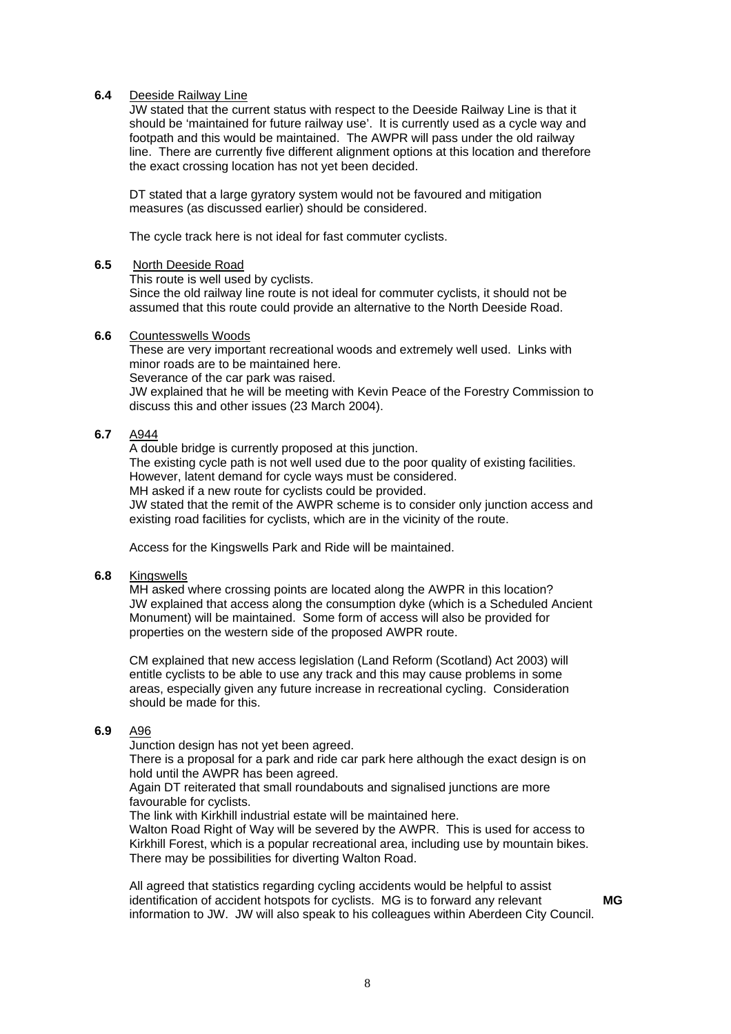#### **6.4** Deeside Railway Line

JW stated that the current status with respect to the Deeside Railway Line is that it should be 'maintained for future railway use'. It is currently used as a cycle way and footpath and this would be maintained. The AWPR will pass under the old railway line. There are currently five different alignment options at this location and therefore the exact crossing location has not yet been decided.

DT stated that a large gyratory system would not be favoured and mitigation measures (as discussed earlier) should be considered.

The cycle track here is not ideal for fast commuter cyclists.

#### **6.5** North Deeside Road

This route is well used by cyclists.

Since the old railway line route is not ideal for commuter cyclists, it should not be assumed that this route could provide an alternative to the North Deeside Road.

#### **6.6** Countesswells Woods

These are very important recreational woods and extremely well used. Links with minor roads are to be maintained here.

Severance of the car park was raised.

JW explained that he will be meeting with Kevin Peace of the Forestry Commission to discuss this and other issues (23 March 2004).

#### **6.7** A944

A double bridge is currently proposed at this junction.

The existing cycle path is not well used due to the poor quality of existing facilities. However, latent demand for cycle ways must be considered.

MH asked if a new route for cyclists could be provided.

JW stated that the remit of the AWPR scheme is to consider only junction access and existing road facilities for cyclists, which are in the vicinity of the route.

Access for the Kingswells Park and Ride will be maintained.

#### **6.8** Kingswells

MH asked where crossing points are located along the AWPR in this location? JW explained that access along the consumption dyke (which is a Scheduled Ancient Monument) will be maintained. Some form of access will also be provided for properties on the western side of the proposed AWPR route.

CM explained that new access legislation (Land Reform (Scotland) Act 2003) will entitle cyclists to be able to use any track and this may cause problems in some areas, especially given any future increase in recreational cycling. Consideration should be made for this.

#### **6.9** A96

Junction design has not yet been agreed.

There is a proposal for a park and ride car park here although the exact design is on hold until the AWPR has been agreed.

Again DT reiterated that small roundabouts and signalised junctions are more favourable for cyclists.

The link with Kirkhill industrial estate will be maintained here.

Walton Road Right of Way will be severed by the AWPR. This is used for access to Kirkhill Forest, which is a popular recreational area, including use by mountain bikes. There may be possibilities for diverting Walton Road.

All agreed that statistics regarding cycling accidents would be helpful to assist identification of accident hotspots for cyclists. MG is to forward any relevant information to JW. JW will also speak to his colleagues within Aberdeen City Council.

 **MG**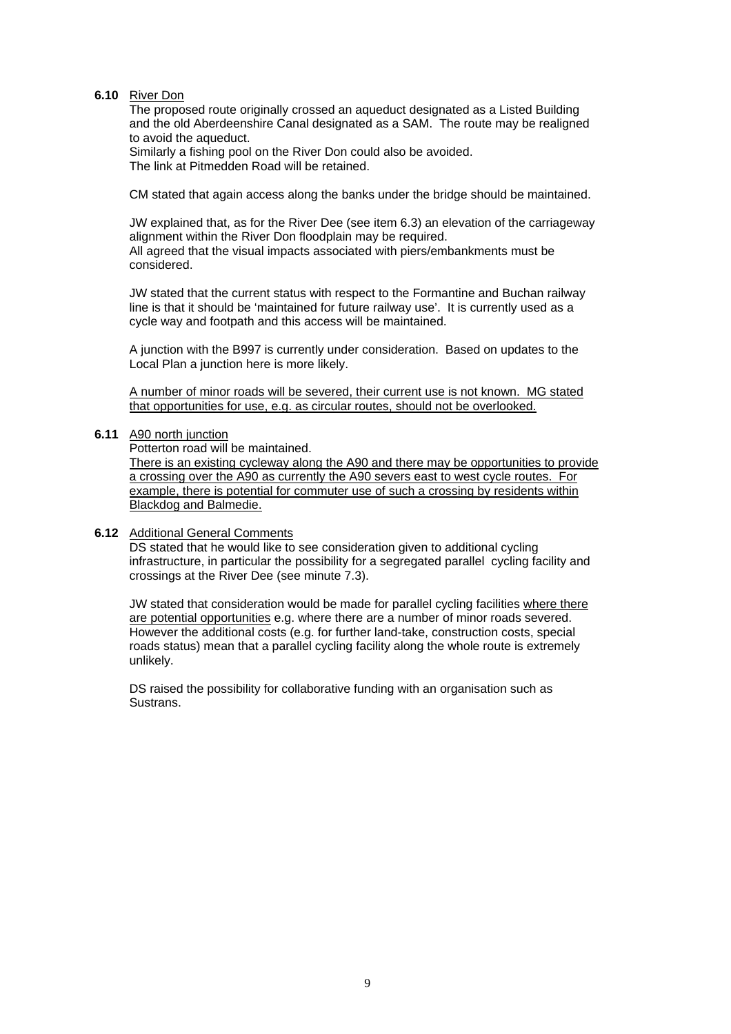#### **6.10** River Don

The proposed route originally crossed an aqueduct designated as a Listed Building and the old Aberdeenshire Canal designated as a SAM. The route may be realigned to avoid the aqueduct.

Similarly a fishing pool on the River Don could also be avoided. The link at Pitmedden Road will be retained.

CM stated that again access along the banks under the bridge should be maintained.

JW explained that, as for the River Dee (see item 6.3) an elevation of the carriageway alignment within the River Don floodplain may be required. All agreed that the visual impacts associated with piers/embankments must be considered.

JW stated that the current status with respect to the Formantine and Buchan railway line is that it should be 'maintained for future railway use'. It is currently used as a cycle way and footpath and this access will be maintained.

A junction with the B997 is currently under consideration. Based on updates to the Local Plan a junction here is more likely.

A number of minor roads will be severed, their current use is not known. MG stated that opportunities for use, e.g. as circular routes, should not be overlooked.

#### **6.11** A90 north junction

Potterton road will be maintained.

There is an existing cycleway along the A90 and there may be opportunities to provide a crossing over the A90 as currently the A90 severs east to west cycle routes. For example, there is potential for commuter use of such a crossing by residents within Blackdog and Balmedie.

#### **6.12** Additional General Comments

DS stated that he would like to see consideration given to additional cycling infrastructure, in particular the possibility for a segregated parallel cycling facility and crossings at the River Dee (see minute 7.3).

JW stated that consideration would be made for parallel cycling facilities where there are potential opportunities e.g. where there are a number of minor roads severed. However the additional costs (e.g. for further land-take, construction costs, special roads status) mean that a parallel cycling facility along the whole route is extremely unlikely.

DS raised the possibility for collaborative funding with an organisation such as Sustrans.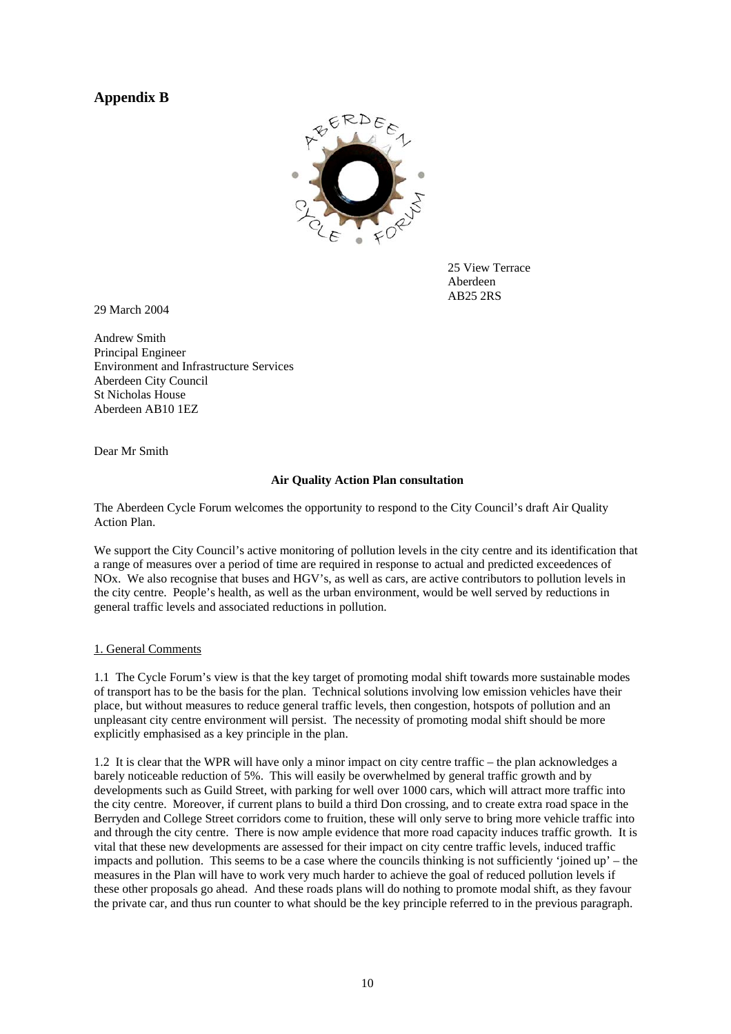## **Appendix B**



25 View Terrace Aberdeen AB25 2RS

29 March 2004

Andrew Smith Principal Engineer Environment and Infrastructure Services Aberdeen City Council St Nicholas House Aberdeen AB10 1EZ

Dear Mr Smith

#### **Air Quality Action Plan consultation**

The Aberdeen Cycle Forum welcomes the opportunity to respond to the City Council's draft Air Quality Action Plan.

We support the City Council's active monitoring of pollution levels in the city centre and its identification that a range of measures over a period of time are required in response to actual and predicted exceedences of NOx. We also recognise that buses and HGV's, as well as cars, are active contributors to pollution levels in the city centre. People's health, as well as the urban environment, would be well served by reductions in general traffic levels and associated reductions in pollution.

#### 1. General Comments

1.1 The Cycle Forum's view is that the key target of promoting modal shift towards more sustainable modes of transport has to be the basis for the plan. Technical solutions involving low emission vehicles have their place, but without measures to reduce general traffic levels, then congestion, hotspots of pollution and an unpleasant city centre environment will persist. The necessity of promoting modal shift should be more explicitly emphasised as a key principle in the plan.

1.2 It is clear that the WPR will have only a minor impact on city centre traffic – the plan acknowledges a barely noticeable reduction of 5%. This will easily be overwhelmed by general traffic growth and by developments such as Guild Street, with parking for well over 1000 cars, which will attract more traffic into the city centre. Moreover, if current plans to build a third Don crossing, and to create extra road space in the Berryden and College Street corridors come to fruition, these will only serve to bring more vehicle traffic into and through the city centre. There is now ample evidence that more road capacity induces traffic growth. It is vital that these new developments are assessed for their impact on city centre traffic levels, induced traffic impacts and pollution. This seems to be a case where the councils thinking is not sufficiently 'joined up' – the measures in the Plan will have to work very much harder to achieve the goal of reduced pollution levels if these other proposals go ahead. And these roads plans will do nothing to promote modal shift, as they favour the private car, and thus run counter to what should be the key principle referred to in the previous paragraph.